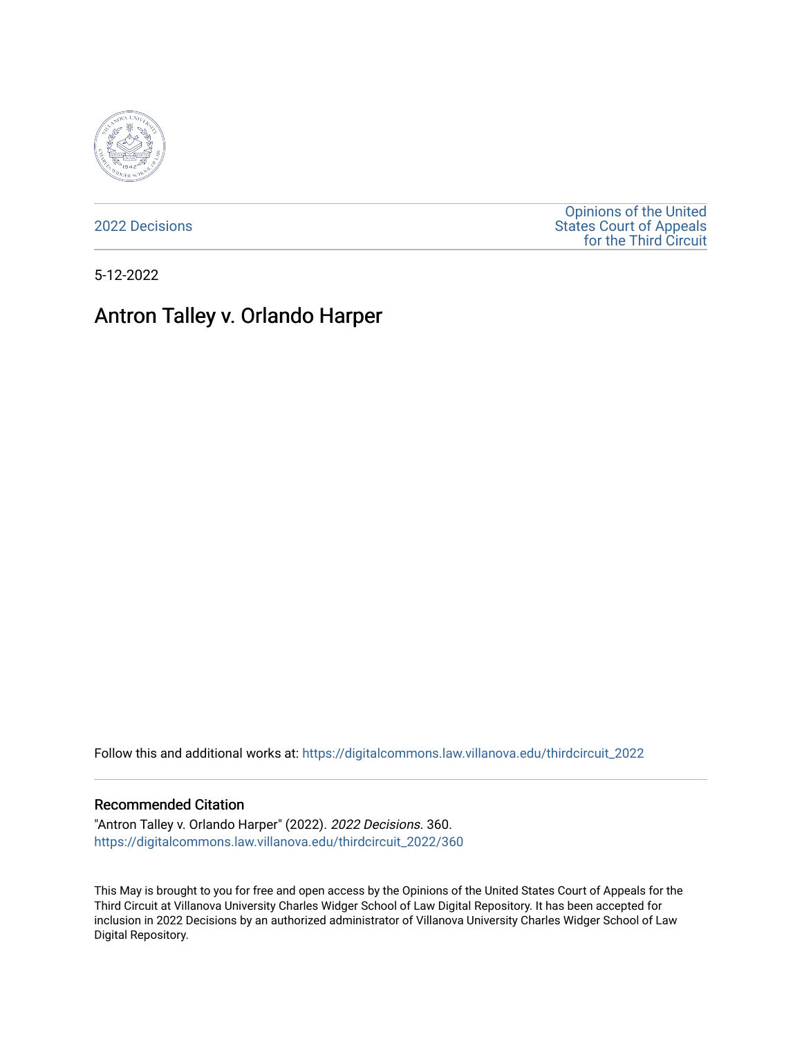

[2022 Decisions](https://digitalcommons.law.villanova.edu/thirdcircuit_2022)

[Opinions of the United](https://digitalcommons.law.villanova.edu/thirdcircuit)  [States Court of Appeals](https://digitalcommons.law.villanova.edu/thirdcircuit)  [for the Third Circuit](https://digitalcommons.law.villanova.edu/thirdcircuit) 

5-12-2022

# Antron Talley v. Orlando Harper

Follow this and additional works at: [https://digitalcommons.law.villanova.edu/thirdcircuit\\_2022](https://digitalcommons.law.villanova.edu/thirdcircuit_2022?utm_source=digitalcommons.law.villanova.edu%2Fthirdcircuit_2022%2F360&utm_medium=PDF&utm_campaign=PDFCoverPages) 

#### Recommended Citation

"Antron Talley v. Orlando Harper" (2022). 2022 Decisions. 360. [https://digitalcommons.law.villanova.edu/thirdcircuit\\_2022/360](https://digitalcommons.law.villanova.edu/thirdcircuit_2022/360?utm_source=digitalcommons.law.villanova.edu%2Fthirdcircuit_2022%2F360&utm_medium=PDF&utm_campaign=PDFCoverPages)

This May is brought to you for free and open access by the Opinions of the United States Court of Appeals for the Third Circuit at Villanova University Charles Widger School of Law Digital Repository. It has been accepted for inclusion in 2022 Decisions by an authorized administrator of Villanova University Charles Widger School of Law Digital Repository.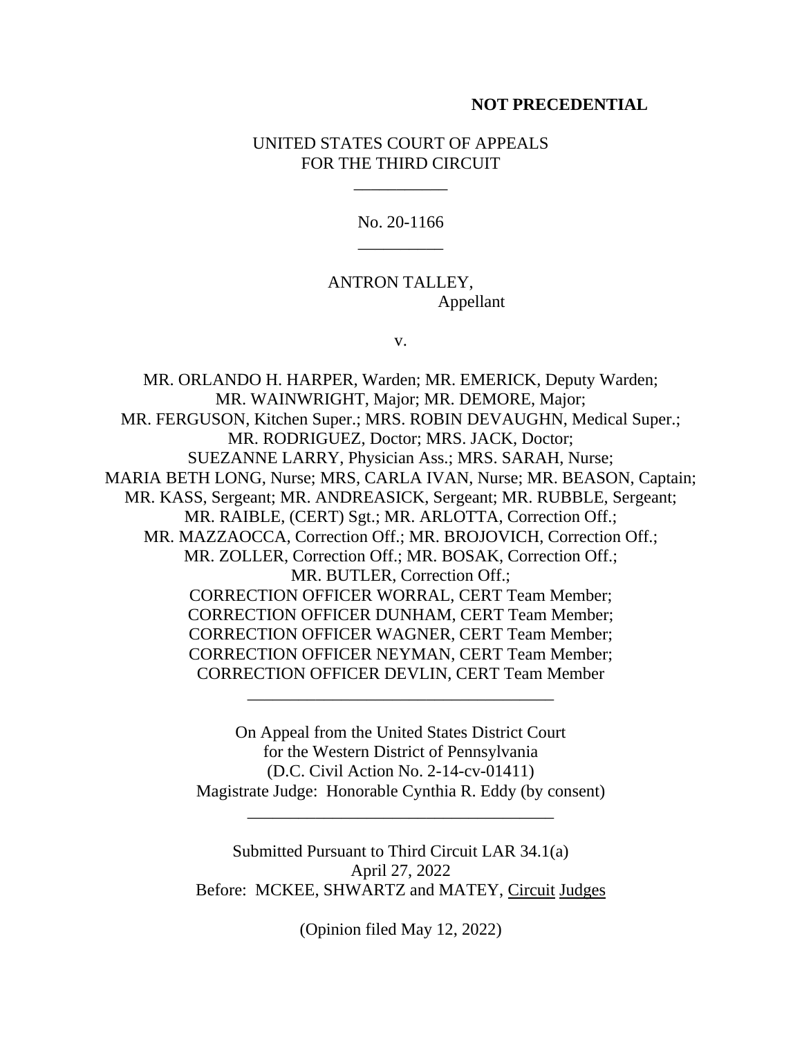#### **NOT PRECEDENTIAL**

### UNITED STATES COURT OF APPEALS FOR THE THIRD CIRCUIT

\_\_\_\_\_\_\_\_\_\_\_

No. 20-1166 \_\_\_\_\_\_\_\_\_\_

# ANTRON TALLEY, Appellant

v.

MR. ORLANDO H. HARPER, Warden; MR. EMERICK, Deputy Warden; MR. WAINWRIGHT, Major; MR. DEMORE, Major; MR. FERGUSON, Kitchen Super.; MRS. ROBIN DEVAUGHN, Medical Super.; MR. RODRIGUEZ, Doctor; MRS. JACK, Doctor; SUEZANNE LARRY, Physician Ass.; MRS. SARAH, Nurse; MARIA BETH LONG, Nurse; MRS, CARLA IVAN, Nurse; MR. BEASON, Captain; MR. KASS, Sergeant; MR. ANDREASICK, Sergeant; MR. RUBBLE, Sergeant; MR. RAIBLE, (CERT) Sgt.; MR. ARLOTTA, Correction Off.; MR. MAZZAOCCA, Correction Off.; MR. BROJOVICH, Correction Off.; MR. ZOLLER, Correction Off.; MR. BOSAK, Correction Off.; MR. BUTLER, Correction Off.; CORRECTION OFFICER WORRAL, CERT Team Member; CORRECTION OFFICER DUNHAM, CERT Team Member; CORRECTION OFFICER WAGNER, CERT Team Member; CORRECTION OFFICER NEYMAN, CERT Team Member; CORRECTION OFFICER DEVLIN, CERT Team Member

> On Appeal from the United States District Court for the Western District of Pennsylvania (D.C. Civil Action No. 2-14-cv-01411) Magistrate Judge: Honorable Cynthia R. Eddy (by consent)

> > \_\_\_\_\_\_\_\_\_\_\_\_\_\_\_\_\_\_\_\_\_\_\_\_\_\_\_\_\_\_\_\_\_\_\_\_

\_\_\_\_\_\_\_\_\_\_\_\_\_\_\_\_\_\_\_\_\_\_\_\_\_\_\_\_\_\_\_\_\_\_\_\_

Submitted Pursuant to Third Circuit LAR 34.1(a) April 27, 2022 Before: MCKEE, SHWARTZ and MATEY, Circuit Judges

(Opinion filed May 12, 2022)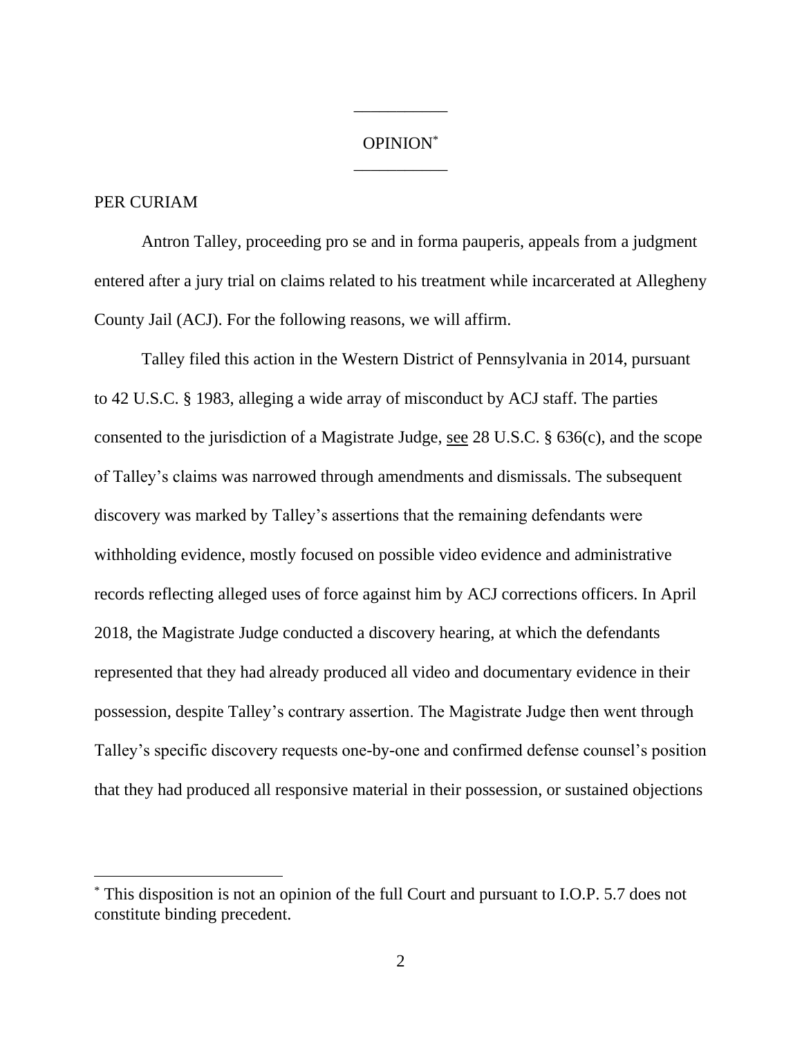# OPINION\* \_\_\_\_\_\_\_\_\_\_\_

\_\_\_\_\_\_\_\_\_\_\_

## PER CURIAM

Antron Talley, proceeding pro se and in forma pauperis, appeals from a judgment entered after a jury trial on claims related to his treatment while incarcerated at Allegheny County Jail (ACJ). For the following reasons, we will affirm.

Talley filed this action in the Western District of Pennsylvania in 2014, pursuant to 42 U.S.C. § 1983, alleging a wide array of misconduct by ACJ staff. The parties consented to the jurisdiction of a Magistrate Judge, see 28 U.S.C. § 636(c), and the scope of Talley's claims was narrowed through amendments and dismissals. The subsequent discovery was marked by Talley's assertions that the remaining defendants were withholding evidence, mostly focused on possible video evidence and administrative records reflecting alleged uses of force against him by ACJ corrections officers. In April 2018, the Magistrate Judge conducted a discovery hearing, at which the defendants represented that they had already produced all video and documentary evidence in their possession, despite Talley's contrary assertion. The Magistrate Judge then went through Talley's specific discovery requests one-by-one and confirmed defense counsel's position that they had produced all responsive material in their possession, or sustained objections

<sup>\*</sup> This disposition is not an opinion of the full Court and pursuant to I.O.P. 5.7 does not constitute binding precedent.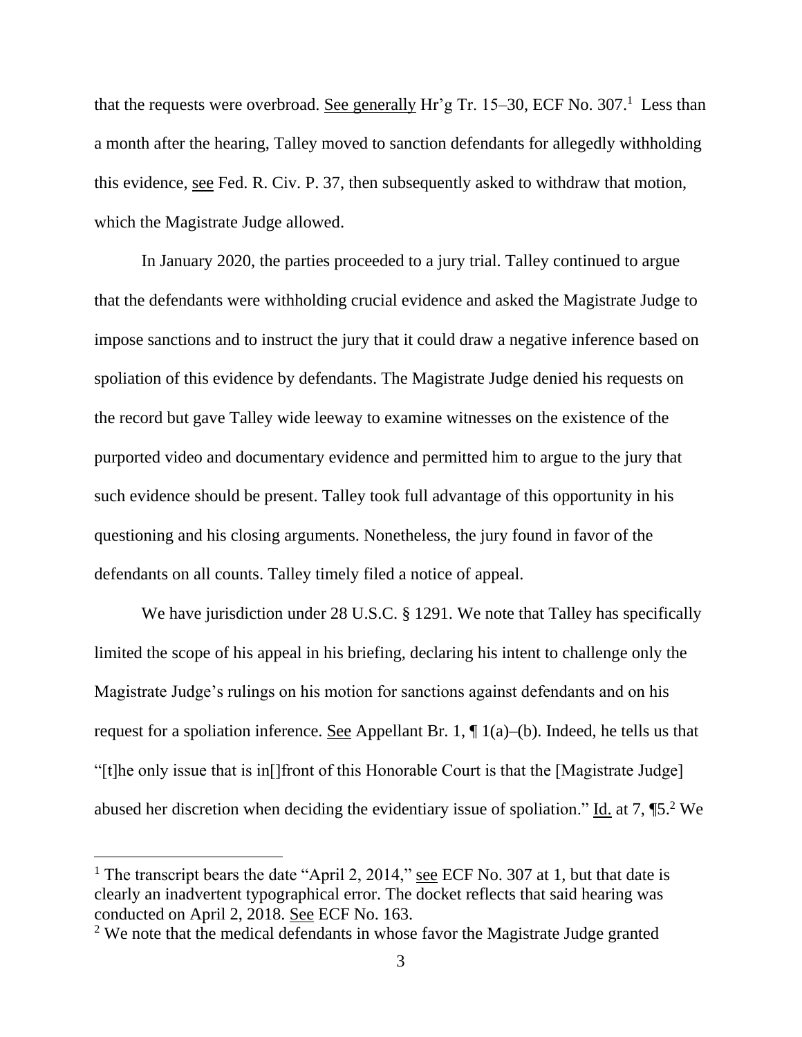that the requests were overbroad. See generally  $\text{Hr}'\text{g Tr. 15-30}$ , ECF No. 307.<sup>1</sup> Less than a month after the hearing, Talley moved to sanction defendants for allegedly withholding this evidence, see Fed. R. Civ. P. 37, then subsequently asked to withdraw that motion, which the Magistrate Judge allowed.

In January 2020, the parties proceeded to a jury trial. Talley continued to argue that the defendants were withholding crucial evidence and asked the Magistrate Judge to impose sanctions and to instruct the jury that it could draw a negative inference based on spoliation of this evidence by defendants. The Magistrate Judge denied his requests on the record but gave Talley wide leeway to examine witnesses on the existence of the purported video and documentary evidence and permitted him to argue to the jury that such evidence should be present. Talley took full advantage of this opportunity in his questioning and his closing arguments. Nonetheless, the jury found in favor of the defendants on all counts. Talley timely filed a notice of appeal.

We have jurisdiction under 28 U.S.C. § 1291. We note that Talley has specifically limited the scope of his appeal in his briefing, declaring his intent to challenge only the Magistrate Judge's rulings on his motion for sanctions against defendants and on his request for a spoliation inference. See Appellant Br. 1,  $\P$  1(a)–(b). Indeed, he tells us that "[t]he only issue that is in[]front of this Honorable Court is that the [Magistrate Judge] abused her discretion when deciding the evidentiary issue of spoliation."  $\underline{Id}$  at 7, ¶5.<sup>2</sup> We

<sup>&</sup>lt;sup>1</sup> The transcript bears the date "April 2, 2014," see ECF No. 307 at 1, but that date is clearly an inadvertent typographical error. The docket reflects that said hearing was conducted on April 2, 2018. See ECF No. 163.

<sup>&</sup>lt;sup>2</sup> We note that the medical defendants in whose favor the Magistrate Judge granted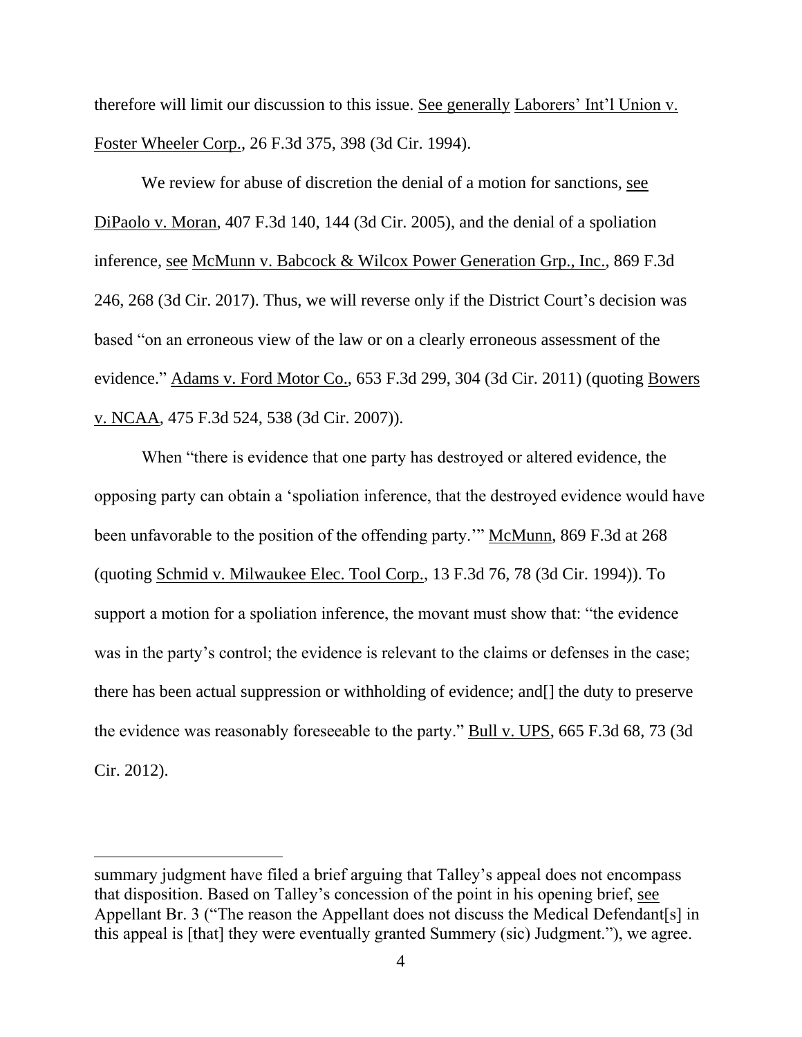therefore will limit our discussion to this issue. See generally Laborers' Int'l Union v. Foster Wheeler Corp., 26 F.3d 375, 398 (3d Cir. 1994).

We review for abuse of discretion the denial of a motion for sanctions, see DiPaolo v. Moran, 407 F.3d 140, 144 (3d Cir. 2005), and the denial of a spoliation inference, see McMunn v. Babcock & Wilcox Power Generation Grp., Inc., 869 F.3d 246, 268 (3d Cir. 2017). Thus, we will reverse only if the District Court's decision was based "on an erroneous view of the law or on a clearly erroneous assessment of the evidence." Adams v. Ford Motor Co., 653 F.3d 299, 304 (3d Cir. 2011) (quoting Bowers v. NCAA, 475 F.3d 524, 538 (3d Cir. 2007)).

When "there is evidence that one party has destroyed or altered evidence, the opposing party can obtain a 'spoliation inference, that the destroyed evidence would have been unfavorable to the position of the offending party." McMunn, 869 F.3d at 268 (quoting Schmid v. Milwaukee Elec. Tool Corp., 13 F.3d 76, 78 (3d Cir. 1994)). To support a motion for a spoliation inference, the movant must show that: "the evidence was in the party's control; the evidence is relevant to the claims or defenses in the case; there has been actual suppression or withholding of evidence; and[] the duty to preserve the evidence was reasonably foreseeable to the party." Bull v. UPS, 665 F.3d 68, 73 (3d Cir. 2012).

summary judgment have filed a brief arguing that Talley's appeal does not encompass that disposition. Based on Talley's concession of the point in his opening brief, see Appellant Br. 3 ("The reason the Appellant does not discuss the Medical Defendant[s] in this appeal is [that] they were eventually granted Summery (sic) Judgment."), we agree.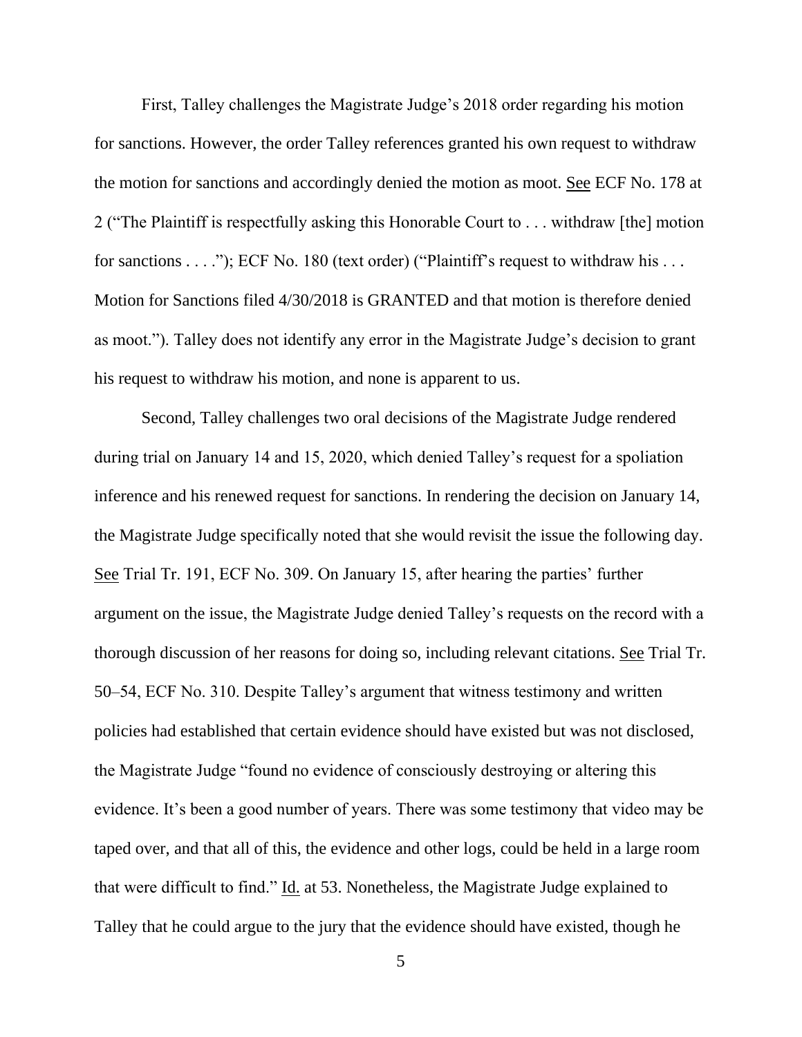First, Talley challenges the Magistrate Judge's 2018 order regarding his motion for sanctions. However, the order Talley references granted his own request to withdraw the motion for sanctions and accordingly denied the motion as moot. See ECF No. 178 at 2 ("The Plaintiff is respectfully asking this Honorable Court to . . . withdraw [the] motion for sanctions . . . ."); ECF No. 180 (text order) ("Plaintiff's request to withdraw his . . . Motion for Sanctions filed 4/30/2018 is GRANTED and that motion is therefore denied as moot."). Talley does not identify any error in the Magistrate Judge's decision to grant his request to withdraw his motion, and none is apparent to us.

Second, Talley challenges two oral decisions of the Magistrate Judge rendered during trial on January 14 and 15, 2020, which denied Talley's request for a spoliation inference and his renewed request for sanctions. In rendering the decision on January 14, the Magistrate Judge specifically noted that she would revisit the issue the following day. See Trial Tr. 191, ECF No. 309. On January 15, after hearing the parties' further argument on the issue, the Magistrate Judge denied Talley's requests on the record with a thorough discussion of her reasons for doing so, including relevant citations. See Trial Tr. 50–54, ECF No. 310. Despite Talley's argument that witness testimony and written policies had established that certain evidence should have existed but was not disclosed, the Magistrate Judge "found no evidence of consciously destroying or altering this evidence. It's been a good number of years. There was some testimony that video may be taped over, and that all of this, the evidence and other logs, could be held in a large room that were difficult to find." Id. at 53. Nonetheless, the Magistrate Judge explained to Talley that he could argue to the jury that the evidence should have existed, though he

5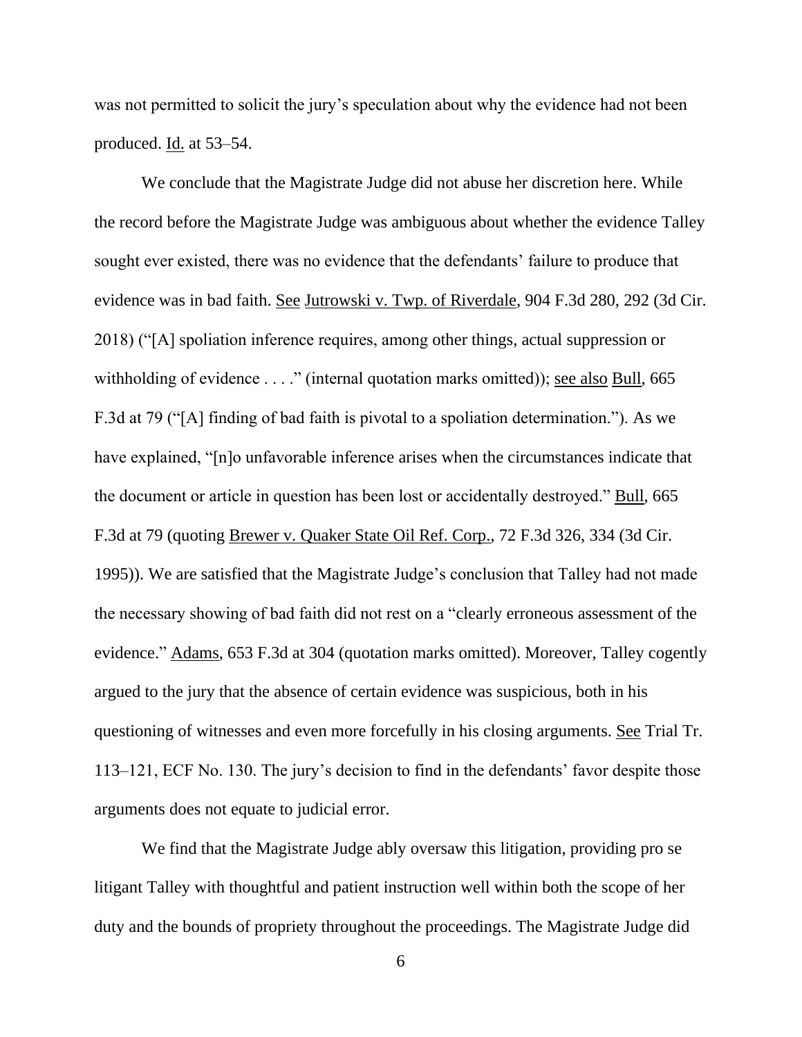was not permitted to solicit the jury's speculation about why the evidence had not been produced. Id. at 53–54.

We conclude that the Magistrate Judge did not abuse her discretion here. While the record before the Magistrate Judge was ambiguous about whether the evidence Talley sought ever existed, there was no evidence that the defendants' failure to produce that evidence was in bad faith. See Jutrowski v. Twp. of Riverdale, 904 F.3d 280, 292 (3d Cir. 2018) ("[A] spoliation inference requires, among other things, actual suppression or withholding of evidence . . . ." (internal quotation marks omitted)); see also Bull, 665 F.3d at 79 ("[A] finding of bad faith is pivotal to a spoliation determination."). As we have explained, "[n]o unfavorable inference arises when the circumstances indicate that the document or article in question has been lost or accidentally destroyed." Bull, 665 F.3d at 79 (quoting Brewer v. Quaker State Oil Ref. Corp., 72 F.3d 326, 334 (3d Cir. 1995)). We are satisfied that the Magistrate Judge's conclusion that Talley had not made the necessary showing of bad faith did not rest on a "clearly erroneous assessment of the evidence." Adams, 653 F.3d at 304 (quotation marks omitted). Moreover, Talley cogently argued to the jury that the absence of certain evidence was suspicious, both in his questioning of witnesses and even more forcefully in his closing arguments. See Trial Tr. 113–121, ECF No. 130. The jury's decision to find in the defendants' favor despite those arguments does not equate to judicial error.

We find that the Magistrate Judge ably oversaw this litigation, providing pro se litigant Talley with thoughtful and patient instruction well within both the scope of her duty and the bounds of propriety throughout the proceedings. The Magistrate Judge did